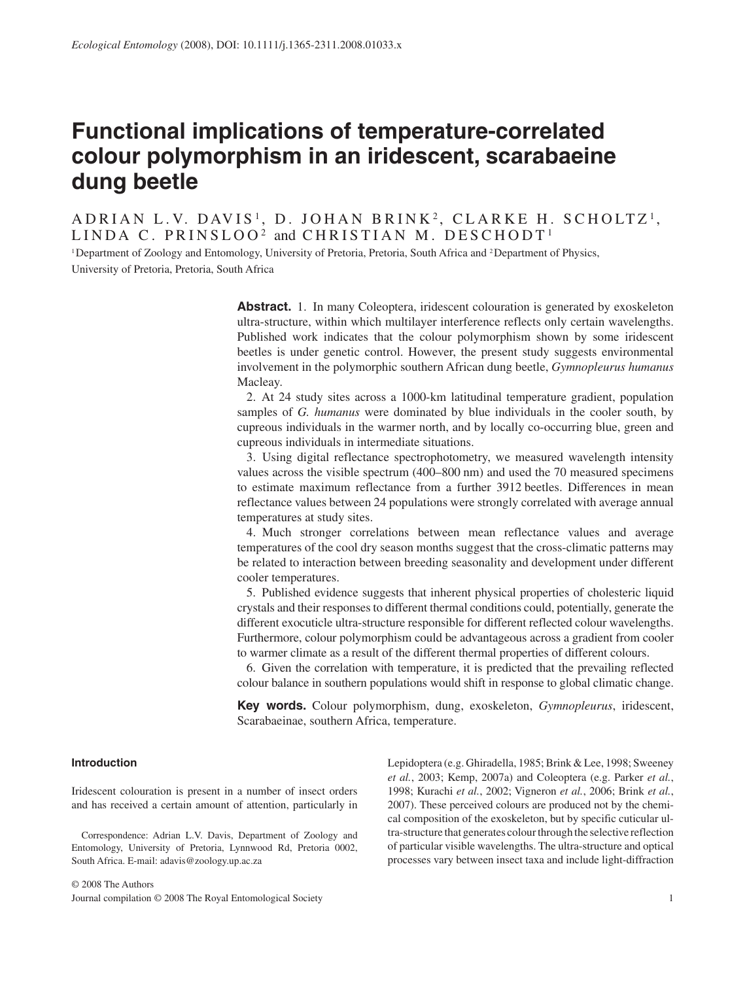# **Functional implications of temperature-correlated colour polymorphism in an iridescent, scarabaeine dung beetle**

ADRIAN L.V. DAVIS<sup>1</sup>, D. JOHAN BRINK<sup>2</sup>, CLARKE H. SCHOLTZ<sup>1</sup>, LINDA C. PRINSLOO<sup>2</sup> and CHRISTIAN M. DESCHODT<sup>1</sup>

 1 Department of Zoology and Entomology, University of Pretoria, Pretoria, South Africa and 2 Department of Physics, University of Pretoria, Pretoria, South Africa

> **Abstract.** 1. In many Coleoptera, iridescent colouration is generated by exoskeleton ultra-structure, within which multilayer interference reflects only certain wavelengths. Published work indicates that the colour polymorphism shown by some iridescent beetles is under genetic control. However, the present study suggests environmental involvement in the polymorphic southern African dung beetle, *Gymnopleurus humanus* Macleay.

> 2. At 24 study sites across a 1000-km latitudinal temperature gradient, population samples of *G. humanus* were dominated by blue individuals in the cooler south, by cupreous individuals in the warmer north, and by locally co-occurring blue, green and cupreous individuals in intermediate situations.

> 3. Using digital reflectance spectrophotometry, we measured wavelength intensity values across the visible spectrum (400–800 nm) and used the 70 measured specimens to estimate maximum reflectance from a further 3912 beetles. Differences in mean reflectance values between 24 populations were strongly correlated with average annual temperatures at study sites.

> 4. Much stronger correlations between mean reflectance values and average temperatures of the cool dry season months suggest that the cross-climatic patterns may be related to interaction between breeding seasonality and development under different cooler temperatures.

> 5. Published evidence suggests that inherent physical properties of cholesteric liquid crystals and their responses to different thermal conditions could, potentially, generate the different exocuticle ultra-structure responsible for different reflected colour wavelengths. Furthermore, colour polymorphism could be advantageous across a gradient from cooler to warmer climate as a result of the different thermal properties of different colours.

> 6. Given the correlation with temperature, it is predicted that the prevailing reflected colour balance in southern populations would shift in response to global climatic change.

> **Key words.** Colour polymorphism, dung, exoskeleton, *Gymnopleurus*, iridescent, Scarabaeinae, southern Africa, temperature.

# **Introduction**

 Iridescent colouration is present in a number of insect orders and has received a certain amount of attention, particularly in

 Correspondence: Adrian L.V. Davis, Department of Zoology and Entomology, University of Pretoria, Lynnwood Rd, Pretoria 0002, South Africa. E-mail: adavis@zoology.up.ac.za

Lepidoptera (e.g. Ghiradella, 1985; Brink & Lee, 1998; Sweeney *et al.* , 2003; Kemp, 2007a ) and Coleoptera (e.g. Parker *et al.* , 1998; Kurachi *et al.* , 2002; Vigneron *et al.* , 2006; Brink *et al.* , 2007). These perceived colours are produced not by the chemical composition of the exoskeleton, but by specific cuticular ultra-structure that generates colour through the selective reflection of particular visible wavelengths. The ultra-structure and optical processes vary between insect taxa and include light-diffraction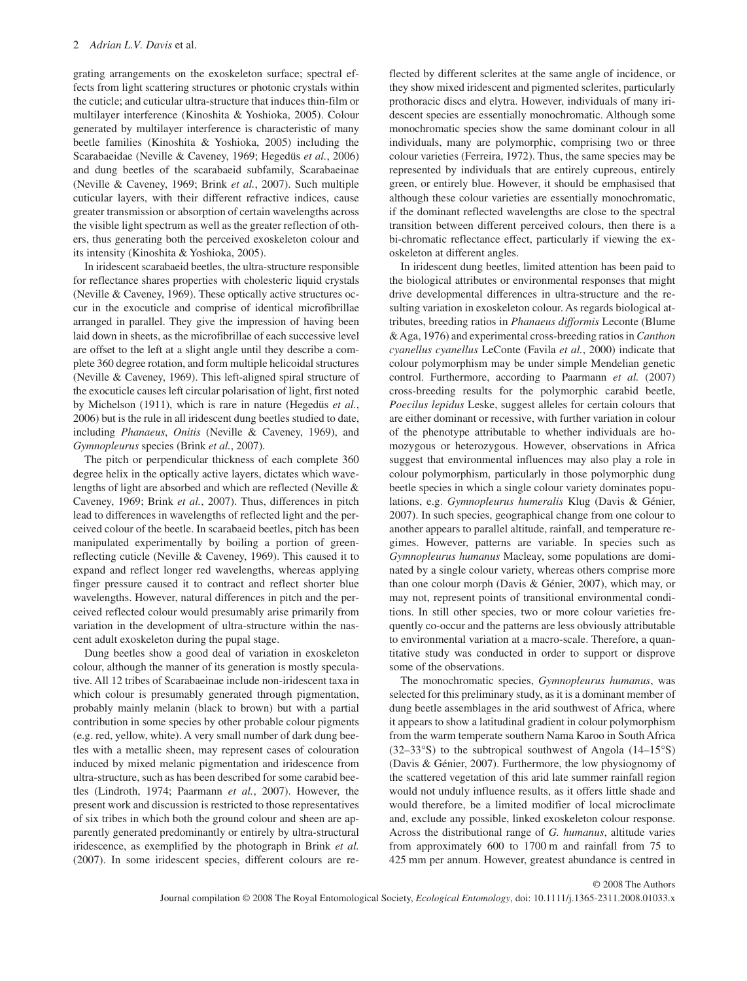grating arrangements on the exoskeleton surface; spectral effects from light scattering structures or photonic crystals within the cuticle; and cuticular ultra-structure that induces thin-film or multilayer interference (Kinoshita & Yoshioka, 2005). Colour generated by multilayer interference is characteristic of many beetle families (Kinoshita & Yoshioka, 2005) including the Scarabaeidae (Neville & Caveney, 1969; Hegedüs et al., 2006) and dung beetles of the scarabaeid subfamily, Scarabaeinae (Neville & Caveney, 1969; Brink et al., 2007). Such multiple cuticular layers, with their different refractive indices, cause greater transmission or absorption of certain wavelengths across the visible light spectrum as well as the greater reflection of others, thus generating both the perceived exoskeleton colour and its intensity (Kinoshita & Yoshioka, 2005).

 In iridescent scarabaeid beetles, the ultra-structure responsible for reflectance shares properties with cholesteric liquid crystals ( Neville & Caveney, 1969 ). These optically active structures occur in the exocuticle and comprise of identical microfibrillae arranged in parallel. They give the impression of having been laid down in sheets, as the microfibrillae of each successive level are offset to the left at a slight angle until they describe a complete 360 degree rotation, and form multiple helicoidal structures ( Neville & Caveney, 1969 ). This left-aligned spiral structure of the exocuticle causes left circular polarisation of light, first noted by Michelson (1911), which is rare in nature (Hegedüs *et al.*, 2006 ) but is the rule in all iridescent dung beetles studied to date, including *Phanaeus*, *Onitis* (Neville & Caveney, 1969), and *Gymnopleurus* species (Brink *et al.*, 2007).

 The pitch or perpendicular thickness of each complete 360 degree helix in the optically active layers, dictates which wavelengths of light are absorbed and which are reflected ( Neville & Caveney, 1969; Brink et al., 2007). Thus, differences in pitch lead to differences in wavelengths of reflected light and the perceived colour of the beetle. In scarabaeid beetles, pitch has been manipulated experimentally by boiling a portion of green reflecting cuticle (Neville & Caveney, 1969). This caused it to expand and reflect longer red wavelengths, whereas applying finger pressure caused it to contract and reflect shorter blue wavelengths. However, natural differences in pitch and the perceived reflected colour would presumably arise primarily from variation in the development of ultra-structure within the nascent adult exoskeleton during the pupal stage.

 Dung beetles show a good deal of variation in exoskeleton colour, although the manner of its generation is mostly speculative. All 12 tribes of Scarabaeinae include non-iridescent taxa in which colour is presumably generated through pigmentation, probably mainly melanin (black to brown) but with a partial contribution in some species by other probable colour pigments (e.g. red, yellow, white). A very small number of dark dung beetles with a metallic sheen, may represent cases of colouration induced by mixed melanic pigmentation and iridescence from ultra- structure, such as has been described for some carabid beetles (Lindroth, 1974; Paarmann et al., 2007). However, the present work and discussion is restricted to those representatives of six tribes in which both the ground colour and sheen are apparently generated predominantly or entirely by ultra-structural iridescence, as exemplified by the photograph in Brink *et al.* (2007) . In some iridescent species, different colours are reflected by different sclerites at the same angle of incidence, or they show mixed iridescent and pigmented sclerites, particularly prothoracic discs and elytra. However, individuals of many iridescent species are essentially monochromatic. Although some monochromatic species show the same dominant colour in all individuals, many are polymorphic, comprising two or three colour varieties (Ferreira, 1972). Thus, the same species may be represented by individuals that are entirely cupreous, entirely green, or entirely blue. However, it should be emphasised that although these colour varieties are essentially monochromatic, if the dominant reflected wavelengths are close to the spectral transition between different perceived colours, then there is a bi-chromatic reflectance effect, particularly if viewing the exoskeleton at different angles.

 In iridescent dung beetles, limited attention has been paid to the biological attributes or environmental responses that might drive developmental differences in ultra-structure and the resulting variation in exoskeleton colour. As regards biological attributes, breeding ratios in *Phanaeus difformis* Leconte ( Blume & Aga, 1976 ) and experimental cross-breeding ratios in *Canthon cyanellus cyanellus* LeConte (Favila *et al.*, 2000) indicate that colour polymorphism may be under simple Mendelian genetic control. Furthermore, according to Paarmann *et al.* (2007) cross-breeding results for the polymorphic carabid beetle, *Poecilus lepidus* Leske, suggest alleles for certain colours that are either dominant or recessive, with further variation in colour of the phenotype attributable to whether individuals are homozygous or heterozygous. However, observations in Africa suggest that environmental influences may also play a role in colour polymorphism, particularly in those polymorphic dung beetle species in which a single colour variety dominates populations, e.g. *Gymnopleurus humeralis* Klug (Davis & Génier, 2007 ). In such species, geographical change from one colour to another appears to parallel altitude, rainfall, and temperature regimes. However, patterns are variable. In species such as *Gymnopleurus humanus* Macleay, some populations are dominated by a single colour variety, whereas others comprise more than one colour morph (Davis & Génier, 2007), which may, or may not, represent points of transitional environmental conditions. In still other species, two or more colour varieties frequently co-occur and the patterns are less obviously attributable to environmental variation at a macro-scale. Therefore, a quantitative study was conducted in order to support or disprove some of the observations.

 The monochromatic species, *Gymnopleurus humanus* , was selected for this preliminary study, as it is a dominant member of dung beetle assemblages in the arid southwest of Africa, where it appears to show a latitudinal gradient in colour polymorphism from the warm temperate southern Nama Karoo in South Africa  $(32-33°S)$  to the subtropical southwest of Angola  $(14-15°S)$ ( Davis & Génier, 2007 ). Furthermore, the low physiognomy of the scattered vegetation of this arid late summer rainfall region would not unduly influence results, as it offers little shade and would therefore, be a limited modifier of local microclimate and, exclude any possible, linked exoskeleton colour response. Across the distributional range of *G. humanus* , altitude varies from approximately 600 to 1700 m and rainfall from 75 to 425 mm per annum. However, greatest abundance is centred in

© 2008 The Authors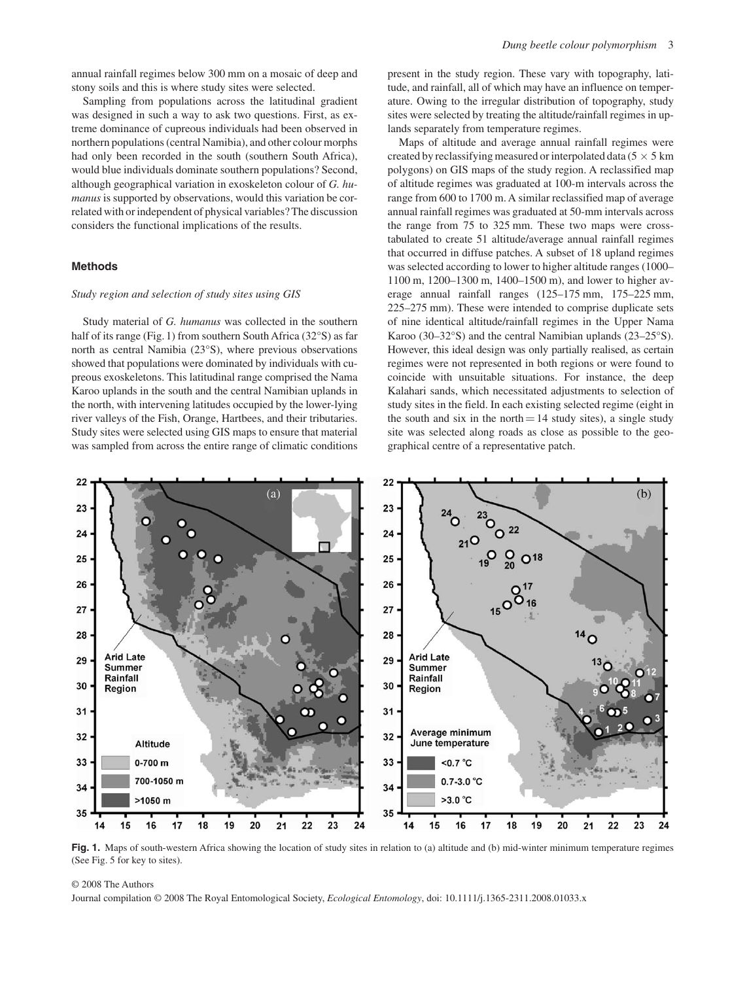Sampling from populations across the latitudinal gradient was designed in such a way to ask two questions. First, as extreme dominance of cupreous individuals had been observed in northern populations (central Namibia), and other colour morphs had only been recorded in the south (southern South Africa), would blue individuals dominate southern populations? Second, although geographical variation in exoskeleton colour of *G. humanus* is supported by observations, would this variation be correlated with or independent of physical variables? The discussion considers the functional implications of the results.

## **Methods**

## *Study region and selection of study sites using GIS*

 Study material of *G. humanus* was collected in the southern half of its range (Fig. 1) from southern South Africa ( $32^{\circ}$ S) as far north as central Namibia (23°S), where previous observations showed that populations were dominated by individuals with cupreous exoskeletons. This latitudinal range comprised the Nama Karoo uplands in the south and the central Namibian uplands in the north, with intervening latitudes occupied by the lower-lying river valleys of the Fish, Orange, Hartbees, and their tributaries. Study sites were selected using GIS maps to ensure that material was sampled from across the entire range of climatic conditions present in the study region. These vary with topography, latitude, and rainfall, all of which may have an influence on temperature. Owing to the irregular distribution of topography, study sites were selected by treating the altitude/rainfall regimes in uplands separately from temperature regimes.

 Maps of altitude and average annual rainfall regimes were created by reclassifying measured or interpolated data ( $5 \times 5$  km polygons) on GIS maps of the study region. A reclassified map of altitude regimes was graduated at 100-m intervals across the range from 600 to 1700 m. A similar reclassified map of average annual rainfall regimes was graduated at 50-mm intervals across the range from 75 to 325 mm. These two maps were cross tabulated to create 51 altitude/average annual rainfall regimes that occurred in diffuse patches. A subset of 18 upland regimes was selected according to lower to higher altitude ranges (1000-1100 m, 1200-1300 m, 1400-1500 m), and lower to higher average annual rainfall ranges  $(125-175)$  mm,  $175-225$  mm, 225–275 mm). These were intended to comprise duplicate sets of nine identical altitude/rainfall regimes in the Upper Nama Karoo (30–32°S) and the central Namibian uplands (23–25°S). However, this ideal design was only partially realised, as certain regimes were not represented in both regions or were found to coincide with unsuitable situations. For instance, the deep Kalahari sands, which necessitated adjustments to selection of study sites in the field. In each existing selected regime (eight in the south and six in the north  $= 14$  study sites), a single study site was selected along roads as close as possible to the geographical centre of a representative patch.



Fig. 1. Maps of south-western Africa showing the location of study sites in relation to (a) altitude and (b) mid-winter minimum temperature regimes (See Fig. 5 for key to sites).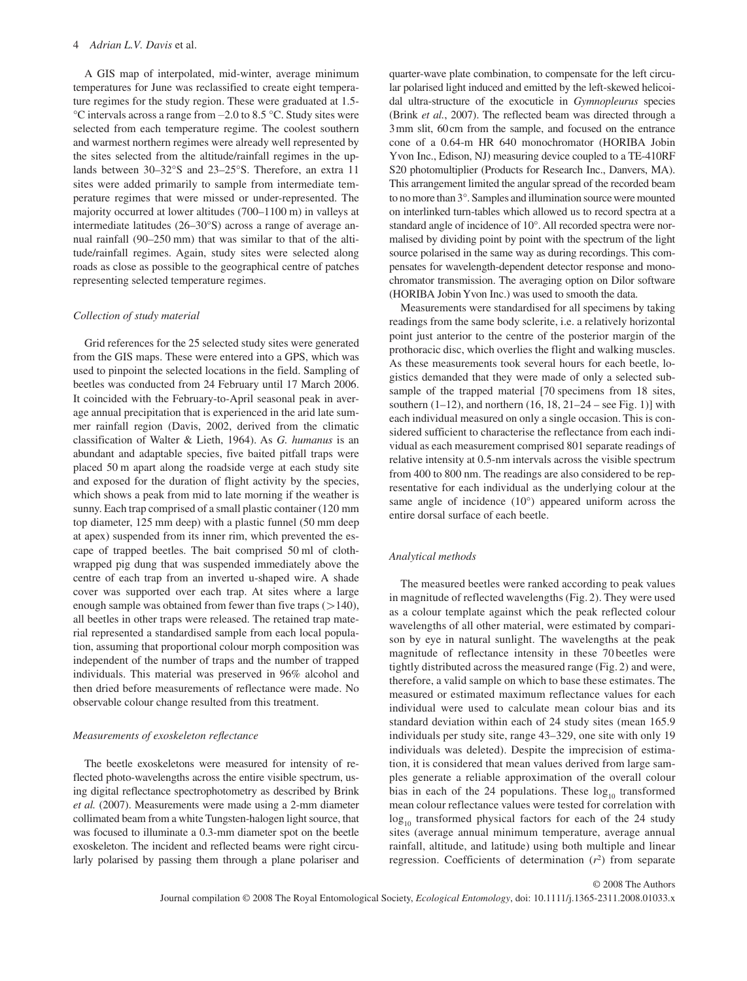## 4 *Adrian L.V. Davis* et al.

 A GIS map of interpolated, mid-winter, average minimum temperatures for June was reclassified to create eight temperature regimes for the study region. These were graduated at 1.5-  $\degree$ C intervals across a range from  $-2.0$  to 8.5  $\degree$ C. Study sites were selected from each temperature regime. The coolest southern and warmest northern regimes were already well represented by the sites selected from the altitude/rainfall regimes in the uplands between 30–32°S and 23–25°S. Therefore, an extra 11 sites were added primarily to sample from intermediate temperature regimes that were missed or under-represented. The majority occurred at lower altitudes (700-1100 m) in valleys at intermediate latitudes  $(26-30°S)$  across a range of average annual rainfall (90–250 mm) that was similar to that of the altitude/rainfall regimes. Again, study sites were selected along roads as close as possible to the geographical centre of patches representing selected temperature regimes.

### *Collection of study material*

 Grid references for the 25 selected study sites were generated from the GIS maps. These were entered into a GPS, which was used to pinpoint the selected locations in the field. Sampling of beetles was conducted from 24 February until 17 March 2006. It coincided with the February-to-April seasonal peak in average annual precipitation that is experienced in the arid late summer rainfall region (Davis, 2002, derived from the climatic classification of Walter & Lieth, 1964 ). As *G. humanus* is an abundant and adaptable species, five baited pitfall traps were placed 50 m apart along the roadside verge at each study site and exposed for the duration of flight activity by the species, which shows a peak from mid to late morning if the weather is sunny. Each trap comprised of a small plastic container (120 mm top diameter, 125 mm deep) with a plastic funnel (50 mm deep at apex) suspended from its inner rim, which prevented the escape of trapped beetles. The bait comprised 50 ml of clothwrapped pig dung that was suspended immediately above the centre of each trap from an inverted u-shaped wire. A shade cover was supported over each trap. At sites where a large enough sample was obtained from fewer than five traps  $(>140)$ , all beetles in other traps were released. The retained trap material represented a standardised sample from each local population, assuming that proportional colour morph composition was independent of the number of traps and the number of trapped individuals. This material was preserved in 96% alcohol and then dried before measurements of reflectance were made. No observable colour change resulted from this treatment.

# *Measurements of exoskeleton refl ectance*

 The beetle exoskeletons were measured for intensity of reflected photo-wavelengths across the entire visible spectrum, using digital reflectance spectrophotometry as described by Brink et al. (2007). Measurements were made using a 2-mm diameter collimated beam from a white Tungsten-halogen light source, that was focused to illuminate a 0.3-mm diameter spot on the beetle exoskeleton. The incident and reflected beams were right circularly polarised by passing them through a plane polariser and quarter-wave plate combination, to compensate for the left circular polarised light induced and emitted by the left-skewed helicoidal ultra-structure of the exocuticle in *Gymnopleurus* species (Brink *et al.*, 2007). The reflected beam was directed through a 3 mm slit, 60 cm from the sample, and focused on the entrance cone of a 0.64-m HR 640 monochromator (HORIBA Jobin Yvon Inc., Edison, NJ) measuring device coupled to a TE-410RF S20 photomultiplier (Products for Research Inc., Danvers, MA). This arrangement limited the angular spread of the recorded beam to no more than 3°. Samples and illumination source were mounted on interlinked turn-tables which allowed us to record spectra at a standard angle of incidence of 10°. All recorded spectra were normalised by dividing point by point with the spectrum of the light source polarised in the same way as during recordings. This compensates for wavelength-dependent detector response and monochromator transmission. The averaging option on Dilor software (HORIBA Jobin Yvon Inc.) was used to smooth the data.

 Measurements were standardised for all specimens by taking readings from the same body sclerite, i.e. a relatively horizontal point just anterior to the centre of the posterior margin of the prothoracic disc, which overlies the flight and walking muscles. As these measurements took several hours for each beetle, logistics demanded that they were made of only a selected subsample of the trapped material [70 specimens from 18 sites, southern  $(1-12)$ , and northern  $(16, 18, 21-24$  – see Fig. 1)] with each individual measured on only a single occasion. This is considered sufficient to characterise the reflectance from each individual as each measurement comprised 801 separate readings of relative intensity at 0.5-nm intervals across the visible spectrum from 400 to 800 nm. The readings are also considered to be representative for each individual as the underlying colour at the same angle of incidence (10°) appeared uniform across the entire dorsal surface of each beetle.

## *Analytical methods*

 The measured beetles were ranked according to peak values in magnitude of reflected wavelengths (Fig. 2). They were used as a colour template against which the peak reflected colour wavelengths of all other material, were estimated by comparison by eye in natural sunlight. The wavelengths at the peak magnitude of reflectance intensity in these 70 beetles were tightly distributed across the measured range (Fig. 2) and were, therefore, a valid sample on which to base these estimates. The measured or estimated maximum reflectance values for each individual were used to calculate mean colour bias and its standard deviation within each of 24 study sites (mean 165.9 individuals per study site, range 43-329, one site with only 19 individuals was deleted). Despite the imprecision of estimation, it is considered that mean values derived from large samples generate a reliable approximation of the overall colour bias in each of the 24 populations. These  $log_{10}$  transformed mean colour reflectance values were tested for correlation with  $\log_{10}$  transformed physical factors for each of the 24 study sites (average annual minimum temperature, average annual rainfall, altitude, and latitude) using both multiple and linear regression. Coefficients of determination  $(r^2)$  from separate

© 2008 The Authors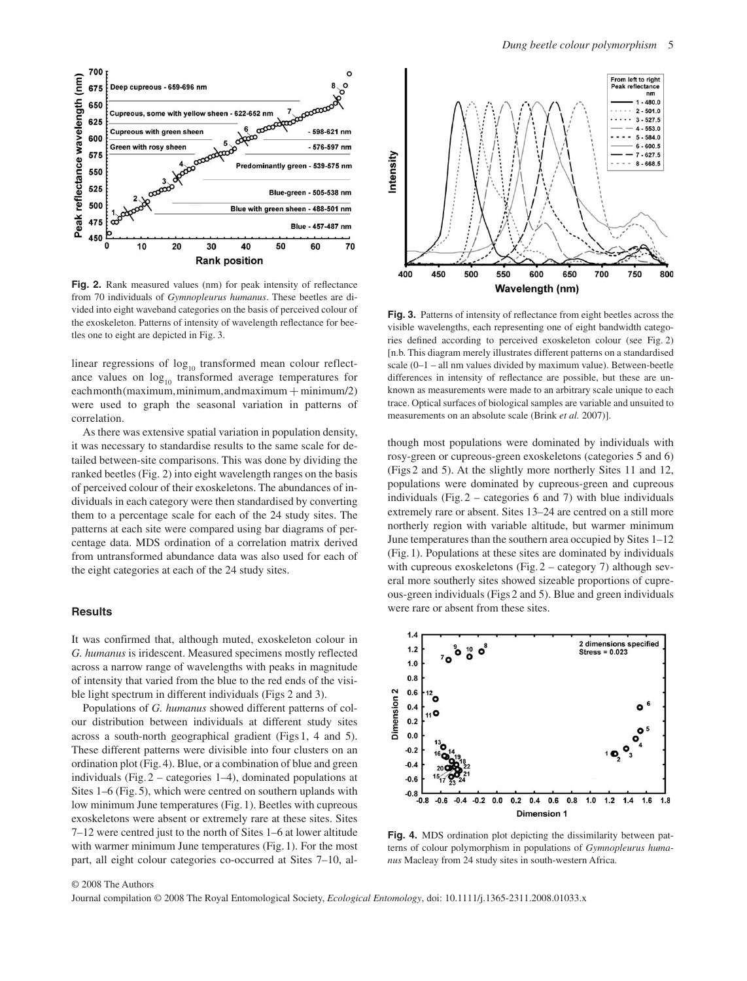

**Fig. 2.** Rank measured values (nm) for peak intensity of reflectance from 70 individuals of *Gymnopleurus humanus* . These beetles are divided into eight waveband categories on the basis of perceived colour of the exoskeleton. Patterns of intensity of wavelength reflectance for beetles one to eight are depicted in Fig. 3 .

linear regressions of  $log_{10}$  transformed mean colour reflectance values on  $log_{10}$  transformed average temperatures for  $each month (maximum, minimum, and maximum + minimum/2)$ were used to graph the seasonal variation in patterns of correlation.

 As there was extensive spatial variation in population density, it was necessary to standardise results to the same scale for detailed between-site comparisons. This was done by dividing the ranked beetles (Fig. 2) into eight wavelength ranges on the basis of perceived colour of their exoskeletons. The abundances of individuals in each category were then standardised by converting them to a percentage scale for each of the 24 study sites. The patterns at each site were compared using bar diagrams of percentage data. MDS ordination of a correlation matrix derived from untransformed abundance data was also used for each of the eight categories at each of the 24 study sites.

# **Results**

 It was confirmed that, although muted, exoskeleton colour in *G. humanus* is iridescent. Measured specimens mostly reflected across a narrow range of wavelengths with peaks in magnitude of intensity that varied from the blue to the red ends of the visible light spectrum in different individuals (Figs 2 and 3).

 Populations of *G. humanus* showed different patterns of colour distribution between individuals at different study sites across a south-north geographical gradient (Figs 1, 4 and 5). These different patterns were divisible into four clusters on an ordination plot (Fig. 4). Blue, or a combination of blue and green individuals (Fig.  $2$  – categories 1–4), dominated populations at Sites  $1-6$  (Fig. 5), which were centred on southern uplands with low minimum June temperatures (Fig. 1). Beetles with cupreous exoskeletons were absent or extremely rare at these sites. Sites 7 – 12 were centred just to the north of Sites 1 – 6 at lower altitude with warmer minimum June temperatures (Fig. 1). For the most part, all eight colour categories co-occurred at Sites 7–10, al-



**Fig. 3.** Patterns of intensity of reflectance from eight beetles across the visible wavelengths, each representing one of eight bandwidth categories defined according to perceived exoskeleton colour (see Fig. 2) [n.b. This diagram merely illustrates different patterns on a standardised scale  $(0-1 -$ all nm values divided by maximum value). Between-beetle differences in intensity of reflectance are possible, but these are unknown as measurements were made to an arbitrary scale unique to each trace. Optical surfaces of biological samples are variable and unsuited to measurements on an absolute scale (Brink *et al.* 2007)].

though most populations were dominated by individuals with rosy-green or cupreous-green exoskeletons (categories 5 and 6) (Figs 2 and 5). At the slightly more northerly Sites 11 and 12, populations were dominated by cupreous-green and cupreous individuals (Fig.  $2$  – categories 6 and 7) with blue individuals extremely rare or absent. Sites 13-24 are centred on a still more northerly region with variable altitude, but warmer minimum June temperatures than the southern area occupied by Sites 1–12 (Fig. 1). Populations at these sites are dominated by individuals with cupreous exoskeletons (Fig.  $2$  – category 7) although several more southerly sites showed sizeable proportions of cupreous-green individuals ( Figs 2 and 5 ). Blue and green individuals were rare or absent from these sites.



**Fig. 4.** MDS ordination plot depicting the dissimilarity between patterns of colour polymorphism in populations of *Gymnopleurus humanus* Macleay from 24 study sites in south-western Africa.

## © 2008 The Authors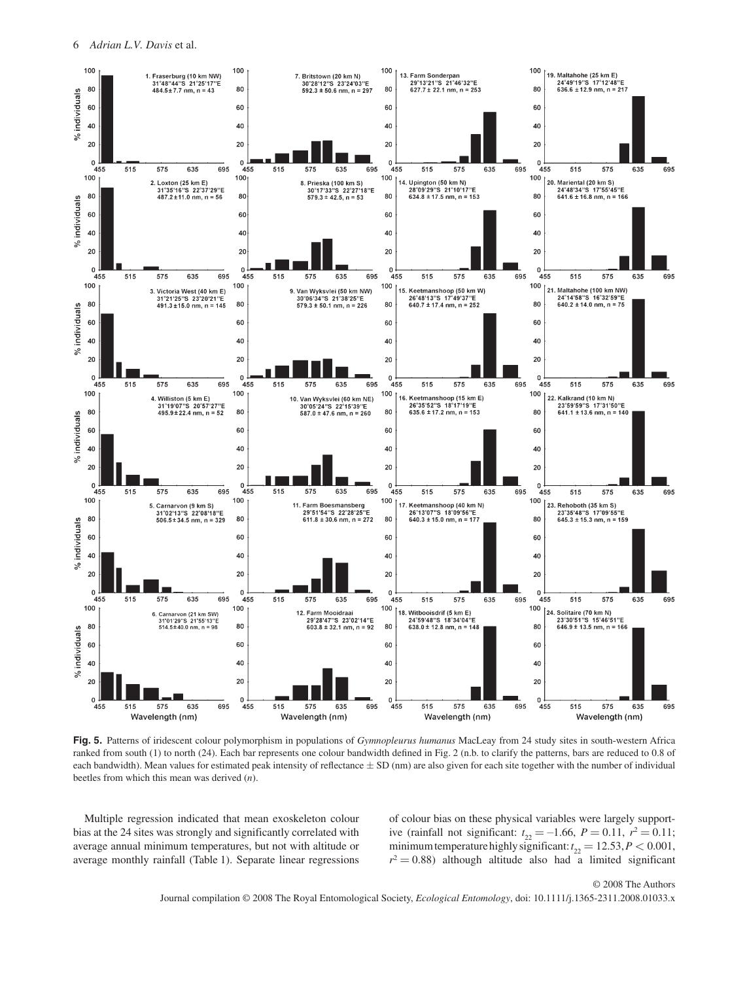

**Fig. 5.** Patterns of iridescent colour polymorphism in populations of *Gymnopleurus humanus* MacLeay from 24 study sites in south-western Africa ranked from south (1) to north (24). Each bar represents one colour bandwidth defined in Fig. 2 (n.b. to clarify the patterns, bars are reduced to 0.8 of each bandwidth). Mean values for estimated peak intensity of reflectance  $\pm$  SD (nm) are also given for each site together with the number of individual beetles from which this mean was derived (*n*).

 Multiple regression indicated that mean exoskeleton colour bias at the 24 sites was strongly and significantly correlated with average annual minimum temperatures, but not with altitude or average monthly rainfall (Table 1). Separate linear regressions

of colour bias on these physical variables were largely supportive (rainfall not significant:  $t_{22} = -1.66$ ,  $P = 0.11$ ,  $r^2 = 0.11$ ; minimum temperature highly significant:  $t_{22} = 12.53, P < 0.001$ ,  $r^2 = 0.88$ ) although altitude also had a limited significant

© 2008 The Authors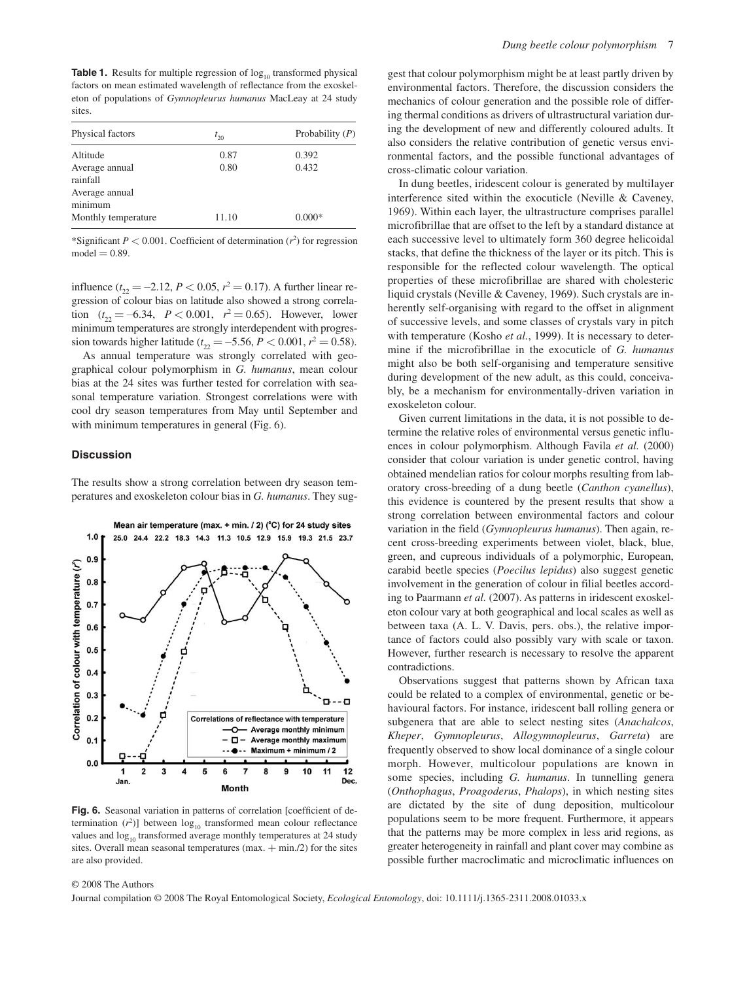**Table 1.** Results for multiple regression of log<sub>10</sub> transformed physical factors on mean estimated wavelength of reflectance from the exoskeleton of populations of *Gymnopleurus humanus* MacLeay at 24 study sites.

| Physical factors           | $t_{20}$ | Probability $(P)$ |
|----------------------------|----------|-------------------|
| Altitude                   | 0.87     | 0.392             |
| Average annual<br>rainfall | 0.80     | 0.432             |
| Average annual<br>minimum  |          |                   |
| Monthly temperature        | 11.10    | $0.000*$          |

\*Significant  $P < 0.001$ . Coefficient of determination  $(r^2)$  for regression  $model = 0.89$ 

influence  $(t_{22} = -2.12, P < 0.05, r^2 = 0.17)$ . A further linear regression of colour bias on latitude also showed a strong correlation  $(t_{22} = -6.34, P < 0.001, r^2 = 0.65)$ . However, lower minimum temperatures are strongly interdependent with progression towards higher latitude ( $t_{22} = -5.56$ ,  $P < 0.001$ ,  $r^2 = 0.58$ ).

 As annual temperature was strongly correlated with geographical colour polymorphism in *G. humanus* , mean colour bias at the 24 sites was further tested for correlation with seasonal temperature variation. Strongest correlations were with cool dry season temperatures from May until September and with minimum temperatures in general (Fig. 6).

# **Discussion**

 The results show a strong correlation between dry season temperatures and exoskeleton colour bias in *G. humanus* . They sug-



Fig. 6. Seasonal variation in patterns of correlation [coefficient of determination  $(r^2)$ ] between  $log_{10}$  transformed mean colour reflectance values and  $log_{10}$  transformed average monthly temperatures at 24 study sites. Overall mean seasonal temperatures  $(max. + min./2)$  for the sites are also provided.

gest that colour polymorphism might be at least partly driven by environmental factors. Therefore, the discussion considers the mechanics of colour generation and the possible role of differing thermal conditions as drivers of ultrastructural variation during the development of new and differently coloured adults. It also considers the relative contribution of genetic versus environmental factors, and the possible functional advantages of cross-climatic colour variation.

 In dung beetles, iridescent colour is generated by multilayer interference sited within the exocuticle (Neville  $&$  Caveney, 1969). Within each layer, the ultrastructure comprises parallel microfibrillae that are offset to the left by a standard distance at each successive level to ultimately form 360 degree helicoidal stacks, that define the thickness of the layer or its pitch. This is responsible for the reflected colour wavelength. The optical properties of these microfibrillae are shared with cholesteric liquid crystals (Neville & Caveney, 1969). Such crystals are inherently self-organising with regard to the offset in alignment of successive levels, and some classes of crystals vary in pitch with temperature (Kosho et al., 1999). It is necessary to determine if the microfibrillae in the exocuticle of *G. humanus* might also be both self-organising and temperature sensitive during development of the new adult, as this could, conceivably, be a mechanism for environmentally-driven variation in exoskeleton colour.

 Given current limitations in the data, it is not possible to determine the relative roles of environmental versus genetic influences in colour polymorphism. Although Favila *et al.* (2000) consider that colour variation is under genetic control, having obtained mendelian ratios for colour morphs resulting from laboratory cross-breeding of a dung beetle ( *Canthon cyanellus* ), this evidence is countered by the present results that show a strong correlation between environmental factors and colour variation in the field (*Gymnopleurus humanus*). Then again, recent cross-breeding experiments between violet, black, blue, green, and cupreous individuals of a polymorphic, European, carabid beetle species (Poecilus lepidus) also suggest genetic involvement in the generation of colour in filial beetles according to Paarmann *et al.* (2007) . As patterns in iridescent exoskeleton colour vary at both geographical and local scales as well as between taxa (A. L. V. Davis, pers. obs.), the relative importance of factors could also possibly vary with scale or taxon. However, further research is necessary to resolve the apparent contradictions.

 Observations suggest that patterns shown by African taxa could be related to a complex of environmental, genetic or behavioural factors. For instance, iridescent ball rolling genera or subgenera that are able to select nesting sites (*Anachalcos*, *Kheper* , *Gymnopleurus* , *Allogymnopleurus* , *Garreta* ) are frequently observed to show local dominance of a single colour morph. However, multicolour populations are known in some species, including *G. humanus*. In tunnelling genera ( *Onthophagus* , *Proagoderus* , *Phalops* ), in which nesting sites are dictated by the site of dung deposition, multicolour populations seem to be more frequent. Furthermore, it appears that the patterns may be more complex in less arid regions, as greater heterogeneity in rainfall and plant cover may combine as possible further macroclimatic and microclimatic influences on

## © 2008 The Authors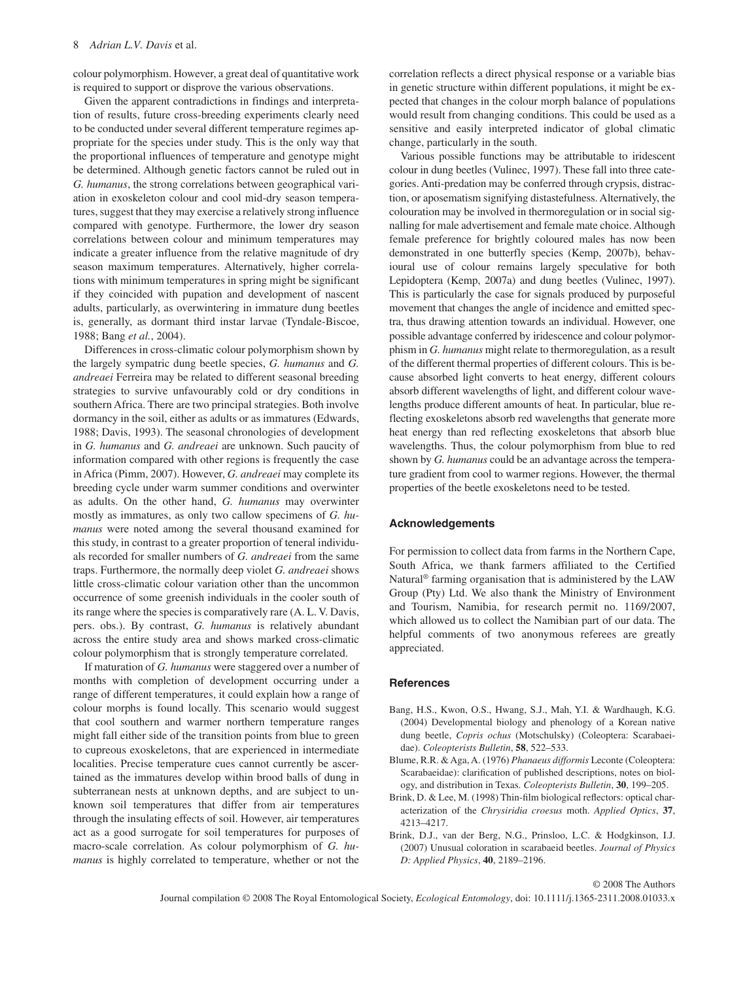colour polymorphism. However, a great deal of quantitative work is required to support or disprove the various observations.

 Given the apparent contradictions in findings and interpretation of results, future cross-breeding experiments clearly need to be conducted under several different temperature regimes appropriate for the species under study. This is the only way that the proportional influences of temperature and genotype might be determined. Although genetic factors cannot be ruled out in *G. humanus* , the strong correlations between geographical variation in exoskeleton colour and cool mid-dry season temperatures, suggest that they may exercise a relatively strong influence compared with genotype. Furthermore, the lower dry season correlations between colour and minimum temperatures may indicate a greater influence from the relative magnitude of dry season maximum temperatures. Alternatively, higher correlations with minimum temperatures in spring might be significant if they coincided with pupation and development of nascent adults, particularly, as overwintering in immature dung beetles is, generally, as dormant third instar larvae (Tyndale-Biscoe, 1988; Bang et al., 2004).

 Differences in cross-climatic colour polymorphism shown by the largely sympatric dung beetle species, *G. humanus* and *G. andreaei* Ferreira may be related to different seasonal breeding strategies to survive unfavourably cold or dry conditions in southern Africa. There are two principal strategies. Both involve dormancy in the soil, either as adults or as immatures (Edwards, 1988; Davis, 1993). The seasonal chronologies of development in *G. humanus* and *G. andreaei* are unknown. Such paucity of information compared with other regions is frequently the case in Africa (Pimm, 2007). However, *G. andreaei* may complete its breeding cycle under warm summer conditions and overwinter as adults. On the other hand, *G. humanus* may overwinter mostly as immatures, as only two callow specimens of *G. humanus* were noted among the several thousand examined for this study, in contrast to a greater proportion of teneral individuals recorded for smaller numbers of *G. andreaei* from the same traps. Furthermore, the normally deep violet *G. andreaei* shows little cross-climatic colour variation other than the uncommon occurrence of some greenish individuals in the cooler south of its range where the species is comparatively rare (A. L. V. Davis, pers. obs.). By contrast, *G. humanus* is relatively abundant across the entire study area and shows marked cross-climatic colour polymorphism that is strongly temperature correlated.

 If maturation of *G. humanus* were staggered over a number of months with completion of development occurring under a range of different temperatures, it could explain how a range of colour morphs is found locally. This scenario would suggest that cool southern and warmer northern temperature ranges might fall either side of the transition points from blue to green to cupreous exoskeletons, that are experienced in intermediate localities. Precise temperature cues cannot currently be ascertained as the immatures develop within brood balls of dung in subterranean nests at unknown depths, and are subject to unknown soil temperatures that differ from air temperatures through the insulating effects of soil. However, air temperatures act as a good surrogate for soil temperatures for purposes of macro-scale correlation. As colour polymorphism of *G. humanus* is highly correlated to temperature, whether or not the correlation reflects a direct physical response or a variable bias in genetic structure within different populations, it might be expected that changes in the colour morph balance of populations would result from changing conditions. This could be used as a sensitive and easily interpreted indicator of global climatic change, particularly in the south.

 Various possible functions may be attributable to iridescent colour in dung beetles (Vulinec, 1997). These fall into three categories. Anti-predation may be conferred through crypsis, distraction, or aposematism signifying distastefulness. Alternatively, the colouration may be involved in thermoregulation or in social signalling for male advertisement and female mate choice. Although female preference for brightly coloured males has now been demonstrated in one butterfly species (Kemp, 2007b), behavioural use of colour remains largely speculative for both Lepidoptera (Kemp, 2007a) and dung beetles (Vulinec, 1997). This is particularly the case for signals produced by purposeful movement that changes the angle of incidence and emitted spectra, thus drawing attention towards an individual. However, one possible advantage conferred by iridescence and colour polymorphism in *G. humanus* might relate to thermoregulation, as a result of the different thermal properties of different colours. This is because absorbed light converts to heat energy, different colours absorb different wavelengths of light, and different colour wavelengths produce different amounts of heat. In particular, blue reflecting exoskeletons absorb red wavelengths that generate more heat energy than red reflecting exoskeletons that absorb blue wavelengths. Thus, the colour polymorphism from blue to red shown by *G. humanus* could be an advantage across the temperature gradient from cool to warmer regions. However, the thermal properties of the beetle exoskeletons need to be tested.

# **Acknowledgements**

 For permission to collect data from farms in the Northern Cape, South Africa, we thank farmers affiliated to the Certified Natural<sup>®</sup> farming organisation that is administered by the LAW Group (Pty) Ltd. We also thank the Ministry of Environment and Tourism, Namibia, for research permit no. 1169/2007, which allowed us to collect the Namibian part of our data. The helpful comments of two anonymous referees are greatly appreciated.

### **References**

- Bang, H.S., Kwon, O.S., Hwang, S.J., Mah, Y.I. & Wardhaugh, K.G. (2004) Developmental biology and phenology of a Korean native dung beetle, *Copris ochus* (Motschulsky) (Coleoptera: Scarabaeidae). *Coleopterists Bulletin*, 58, 522-533.
- Blume , R.R. & Aga , A . ( 1976 ) *Phanaeus difformis* Leconte (Coleoptera: Scarabaeidae): clarification of published descriptions, notes on biology, and distribution in Texas. *Coleopterists Bulletin*, 30, 199-205.
- Brink, D. & Lee, M. (1998) Thin-film biological reflectors: optical characterization of the *Chrysiridia croesus* moth . *Applied Optics* , **37** , 4213-4217.
- Brink, D.J., van der Berg, N.G., Prinsloo, L.C. & Hodgkinson, I.J. ( 2007 ) Unusual coloration in scarabaeid beetles . *Journal of Physics D: Applied Physics* , **40** , 2189 – 2196 .

© 2008 The Authors